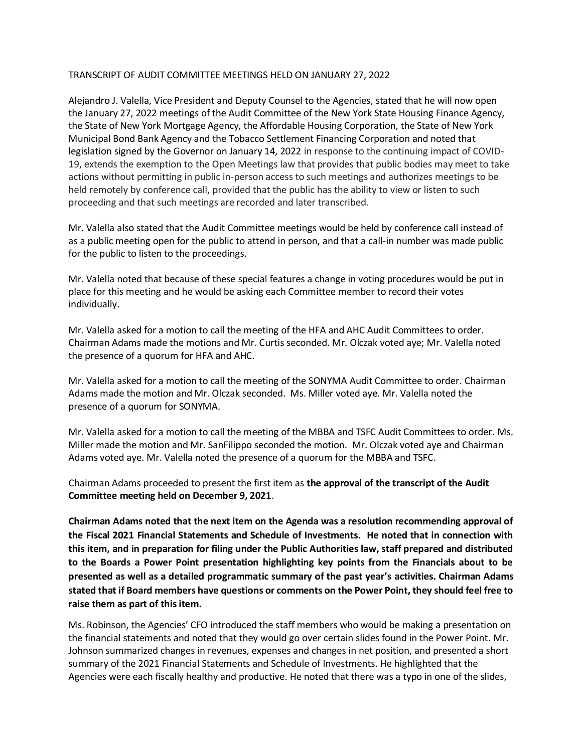## TRANSCRIPT OF AUDIT COMMITTEE MEETINGS HELD ON JANUARY 27, 2022

Alejandro J. Valella, Vice President and Deputy Counsel to the Agencies, stated that he will now open the January 27, 2022 meetings of the Audit Committee of the New York State Housing Finance Agency, the State of New York Mortgage Agency, the Affordable Housing Corporation, the State of New York Municipal Bond Bank Agency and the Tobacco Settlement Financing Corporation and noted that legislation signed by the Governor on January 14, 2022 in response to the continuing impact of COVID-19, extends the exemption to the Open Meetings law that provides that public bodies may meet to take actions without permitting in public in-person access to such meetings and authorizes meetings to be held remotely by conference call, provided that the public has the ability to view or listen to such proceeding and that such meetings are recorded and later transcribed.

Mr. Valella also stated that the Audit Committee meetings would be held by conference call instead of as a public meeting open for the public to attend in person, and that a call-in number was made public for the public to listen to the proceedings.

Mr. Valella noted that because of these special features a change in voting procedures would be put in place for this meeting and he would be asking each Committee member to record their votes individually.

Mr. Valella asked for a motion to call the meeting of the HFA and AHC Audit Committees to order. Chairman Adams made the motions and Mr. Curtis seconded. Mr. Olczak voted aye; Mr. Valella noted the presence of a quorum for HFA and AHC.

Mr. Valella asked for a motion to call the meeting of the SONYMA Audit Committee to order. Chairman Adams made the motion and Mr. Olczak seconded. Ms. Miller voted aye. Mr. Valella noted the presence of a quorum for SONYMA.

Mr. Valella asked for a motion to call the meeting of the MBBA and TSFC Audit Committees to order. Ms. Miller made the motion and Mr. SanFilippo seconded the motion. Mr. Olczak voted aye and Chairman Adams voted aye. Mr. Valella noted the presence of a quorum for the MBBA and TSFC.

Chairman Adams proceeded to present the first item as **the approval of the transcript of the Audit Committee meeting held on December 9, 2021**.

**Chairman Adams noted that the next item on the Agenda was a resolution recommending approval of the Fiscal 2021 Financial Statements and Schedule of Investments. He noted that in connection with this item, and in preparation for filing under the Public Authorities law, staff prepared and distributed to the Boards a Power Point presentation highlighting key points from the Financials about to be presented as well as a detailed programmatic summary of the past year's activities. Chairman Adams stated that if Board members have questions or comments on the Power Point, they should feel free to raise them as part of this item.**

Ms. Robinson, the Agencies' CFO introduced the staff members who would be making a presentation on the financial statements and noted that they would go over certain slides found in the Power Point. Mr. Johnson summarized changes in revenues, expenses and changes in net position, and presented a short summary of the 2021 Financial Statements and Schedule of Investments. He highlighted that the Agencies were each fiscally healthy and productive. He noted that there was a typo in one of the slides,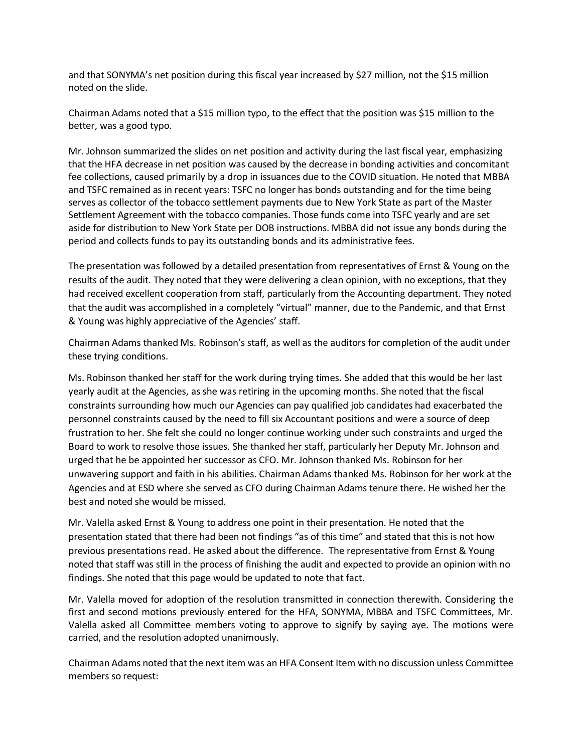and that SONYMA's net position during this fiscal year increased by \$27 million, not the \$15 million noted on the slide.

Chairman Adams noted that a \$15 million typo, to the effect that the position was \$15 million to the better, was a good typo.

Mr. Johnson summarized the slides on net position and activity during the last fiscal year, emphasizing that the HFA decrease in net position was caused by the decrease in bonding activities and concomitant fee collections, caused primarily by a drop in issuances due to the COVID situation. He noted that MBBA and TSFC remained as in recent years: TSFC no longer has bonds outstanding and for the time being serves as collector of the tobacco settlement payments due to New York State as part of the Master Settlement Agreement with the tobacco companies. Those funds come into TSFC yearly and are set aside for distribution to New York State per DOB instructions. MBBA did not issue any bonds during the period and collects funds to pay its outstanding bonds and its administrative fees.

The presentation was followed by a detailed presentation from representatives of Ernst & Young on the results of the audit. They noted that they were delivering a clean opinion, with no exceptions, that they had received excellent cooperation from staff, particularly from the Accounting department. They noted that the audit was accomplished in a completely "virtual" manner, due to the Pandemic, and that Ernst & Young was highly appreciative of the Agencies' staff.

Chairman Adams thanked Ms. Robinson's staff, as well as the auditors for completion of the audit under these trying conditions.

Ms. Robinson thanked her staff for the work during trying times. She added that this would be her last yearly audit at the Agencies, as she was retiring in the upcoming months. She noted that the fiscal constraints surrounding how much our Agencies can pay qualified job candidates had exacerbated the personnel constraints caused by the need to fill six Accountant positions and were a source of deep frustration to her. She felt she could no longer continue working under such constraints and urged the Board to work to resolve those issues. She thanked her staff, particularly her Deputy Mr. Johnson and urged that he be appointed her successor as CFO. Mr. Johnson thanked Ms. Robinson for her unwavering support and faith in his abilities. Chairman Adams thanked Ms. Robinson for her work at the Agencies and at ESD where she served as CFO during Chairman Adams tenure there. He wished her the best and noted she would be missed.

Mr. Valella asked Ernst & Young to address one point in their presentation. He noted that the presentation stated that there had been not findings "as of this time" and stated that this is not how previous presentations read. He asked about the difference. The representative from Ernst & Young noted that staff was still in the process of finishing the audit and expected to provide an opinion with no findings. She noted that this page would be updated to note that fact.

Mr. Valella moved for adoption of the resolution transmitted in connection therewith. Considering the first and second motions previously entered for the HFA, SONYMA, MBBA and TSFC Committees, Mr. Valella asked all Committee members voting to approve to signify by saying aye. The motions were carried, and the resolution adopted unanimously.

Chairman Adams noted that the next item was an HFA Consent Item with no discussion unless Committee members so request: